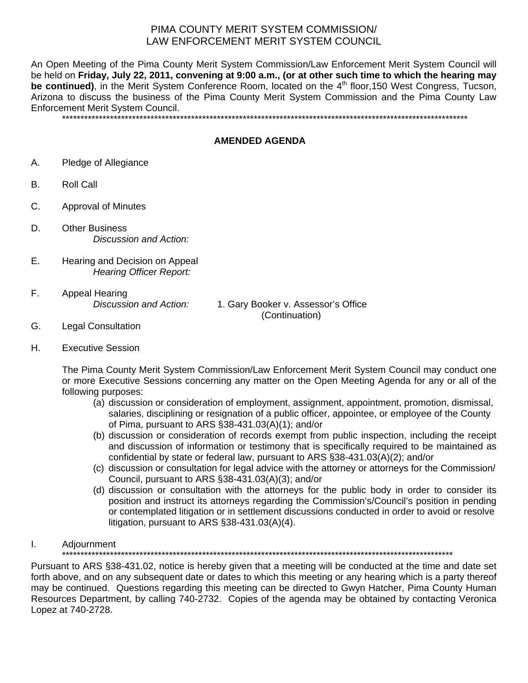## PIMA COUNTY MERIT SYSTEM COMMISSION/ LAW ENFORCEMENT MERIT SYSTEM COUNCIL

An Open Meeting of the Pima County Merit System Commission/Law Enforcement Merit System Council will be held on **Friday, July 22, 2011, convening at 9:00 a.m., (or at other such time to which the hearing may be continued)**, in the Merit System Conference Room, located on the 4<sup>th</sup> floor,150 West Congress, Tucson, Arizona to discuss the business of the Pima County Merit System Commission and the Pima County Law Enforcement Merit System Council.

\*\*\*\*\*\*\*\*\*\*\*\*\*\*\*\*\*\*\*\*\*\*\*\*\*\*\*\*\*\*\*\*\*\*\*\*\*\*\*\*\*\*\*\*\*\*\*\*\*\*\*\*\*\*\*\*\*\*\*\*\*\*\*\*\*\*\*\*\*\*\*\*\*\*\*\*\*\*\*\*\*\*\*\*\*\*\*\*\*\*\*\*\*\*\*\*\*\*\*\*\*\*\*\*\*\*\*\*\*\*

## **AMENDED AGENDA**

- A. Pledge of Allegiance
- B. Roll Call
- C. Approval of Minutes
- D. Other Business *Discussion and Action:*
- E. Hearing and Decision on Appeal *Hearing Officer Report:*
- F. Appeal Hearing

*Discussion and Action:* 1. Gary Booker v. Assessor's Office (Continuation)

- G. Legal Consultation
- H. Executive Session

The Pima County Merit System Commission/Law Enforcement Merit System Council may conduct one or more Executive Sessions concerning any matter on the Open Meeting Agenda for any or all of the following purposes:

- (a) discussion or consideration of employment, assignment, appointment, promotion, dismissal, salaries, disciplining or resignation of a public officer, appointee, or employee of the County of Pima, pursuant to ARS §38-431.03(A)(1); and/or
- (b) discussion or consideration of records exempt from public inspection, including the receipt and discussion of information or testimony that is specifically required to be maintained as confidential by state or federal law, pursuant to ARS §38-431.03(A)(2); and/or
- (c) discussion or consultation for legal advice with the attorney or attorneys for the Commission/ Council, pursuant to ARS §38-431.03(A)(3); and/or
- (d) discussion or consultation with the attorneys for the public body in order to consider its position and instruct its attorneys regarding the Commission's/Council's position in pending or contemplated litigation or in settlement discussions conducted in order to avoid or resolve litigation, pursuant to ARS §38-431.03(A)(4).

### I. Adjournment

\*\*\*\*\*\*\*\*\*\*\*\*\*\*\*\*\*\*\*\*\*\*\*\*\*\*\*\*\*\*\*\*\*\*\*\*\*\*\*\*\*\*\*\*\*\*\*\*\*\*\*\*\*\*\*\*\*\*\*\*\*\*\*\*\*\*\*\*\*\*\*\*\*\*\*\*\*\*\*\*\*\*\*\*\*\*\*\*\*\*\*\*\*\*\*\*\*\*\*\*\*\*\*\*\*\*

Pursuant to ARS §38-431.02, notice is hereby given that a meeting will be conducted at the time and date set forth above, and on any subsequent date or dates to which this meeting or any hearing which is a party thereof may be continued. Questions regarding this meeting can be directed to Gwyn Hatcher, Pima County Human Resources Department, by calling 740-2732. Copies of the agenda may be obtained by contacting Veronica Lopez at 740-2728.